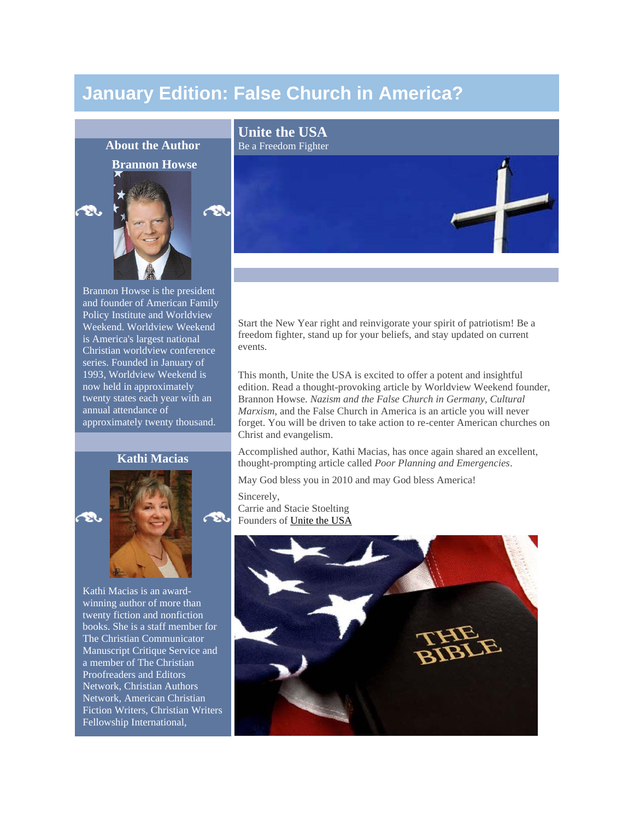# **January Edition: False Church in America?**



Brannon Howse is the president and founder of American Family Policy Institute and Worldview Weekend. Worldview Weekend is America's largest national Christian worldview conference series. Founded in January of 1993, Worldview Weekend is now held in approximately twenty states each year with an annual attendance of approximately twenty thousand.

# **Kathi Macias**





œя

Kathi Macias is an awardwinning author of more than twenty fiction and nonfiction books. She is a staff member for The Christian Communicator Manuscript Critique Service and a member of The Christian Proofreaders and Editors Network, Christian Authors Network, American Christian Fiction Writers, Christian Writers Fellowship International,

Start the New Year right and reinvigorate your spirit of patriotism! Be a freedom fighter, stand up for your beliefs, and stay updated on current events.

This month, Unite the USA is excited to offer a potent and insightful edition. Read a thought-provoking article by Worldview Weekend founder, Brannon Howse. *Nazism and the False Church in Germany, Cultural Marxism*, and the False Church in America is an article you will never forget. You will be driven to take action to re-center American churches on Christ and evangelism.

Accomplished author, Kathi Macias, has once again shared an excellent, thought-prompting article called *Poor Planning and Emergencies*.

May God bless you in 2010 and may God bless America!

Sincerely, Carrie and Stacie Stoelting Founders of [Unite the USA](http://www.unitetheusa.org/)

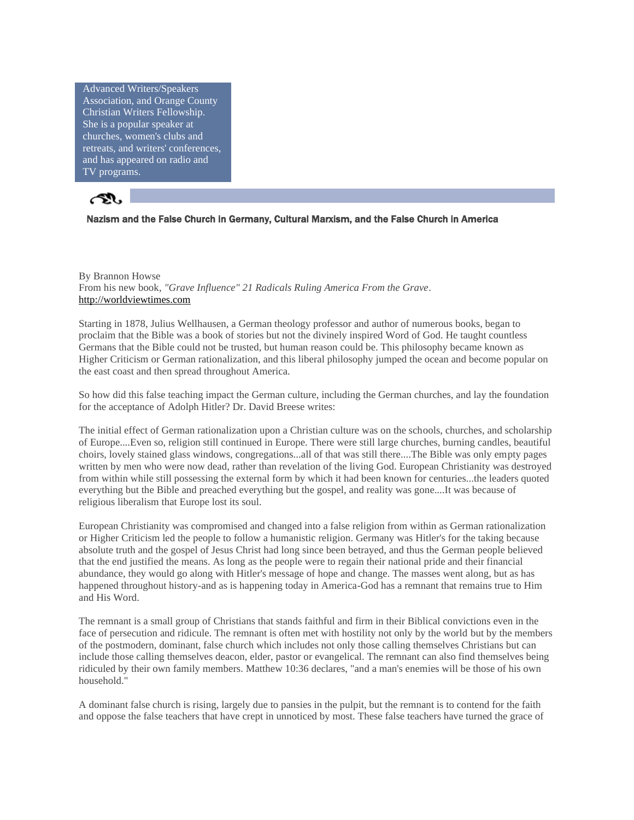Advanced Writers/Speakers Association, and Orange County Christian Writers Fellowship. She is a popular speaker at churches, women's clubs and retreats, and writers' conferences, and has appeared on radio and TV programs.



# Nazism and the False Church in Germany, Cultural Marxism, and the False Church in America

By Brannon Howse From his new book, *"Grave Influence" 21 Radicals Ruling America From the Grave*. [http://worldviewtimes.com](http://worldviewtimes.com/) 

Starting in 1878, Julius Wellhausen, a German theology professor and author of numerous books, began to proclaim that the Bible was a book of stories but not the divinely inspired Word of God. He taught countless Germans that the Bible could not be trusted, but human reason could be. This philosophy became known as Higher Criticism or German rationalization, and this liberal philosophy jumped the ocean and become popular on the east coast and then spread throughout America.

So how did this false teaching impact the German culture, including the German churches, and lay the foundation for the acceptance of Adolph Hitler? Dr. David Breese writes:

The initial effect of German rationalization upon a Christian culture was on the schools, churches, and scholarship of Europe....Even so, religion still continued in Europe. There were still large churches, burning candles, beautiful choirs, lovely stained glass windows, congregations...all of that was still there....The Bible was only empty pages written by men who were now dead, rather than revelation of the living God. European Christianity was destroyed from within while still possessing the external form by which it had been known for centuries...the leaders quoted everything but the Bible and preached everything but the gospel, and reality was gone....It was because of religious liberalism that Europe lost its soul.

European Christianity was compromised and changed into a false religion from within as German rationalization or Higher Criticism led the people to follow a humanistic religion. Germany was Hitler's for the taking because absolute truth and the gospel of Jesus Christ had long since been betrayed, and thus the German people believed that the end justified the means. As long as the people were to regain their national pride and their financial abundance, they would go along with Hitler's message of hope and change. The masses went along, but as has happened throughout history-and as is happening today in America-God has a remnant that remains true to Him and His Word.

The remnant is a small group of Christians that stands faithful and firm in their Biblical convictions even in the face of persecution and ridicule. The remnant is often met with hostility not only by the world but by the members of the postmodern, dominant, false church which includes not only those calling themselves Christians but can include those calling themselves deacon, elder, pastor or evangelical. The remnant can also find themselves being ridiculed by their own family members. Matthew 10:36 declares, "and a man's enemies will be those of his own household."

A dominant false church is rising, largely due to pansies in the pulpit, but the remnant is to contend for the faith and oppose the false teachers that have crept in unnoticed by most. These false teachers have turned the grace of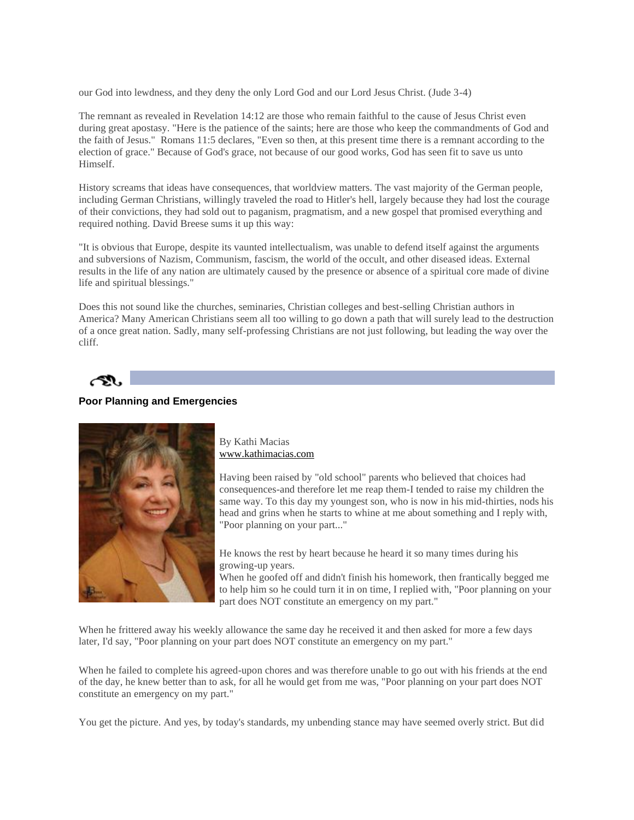our God into lewdness, and they deny the only Lord God and our Lord Jesus Christ. (Jude 3-4)

The remnant as revealed in Revelation 14:12 are those who remain faithful to the cause of Jesus Christ even during great apostasy. "Here is the patience of the saints; here are those who keep the commandments of God and the faith of Jesus." Romans 11:5 declares, "Even so then, at this present time there is a remnant according to the election of grace." Because of God's grace, not because of our good works, God has seen fit to save us unto Himself.

History screams that ideas have consequences, that worldview matters. The vast majority of the German people, including German Christians, willingly traveled the road to Hitler's hell, largely because they had lost the courage of their convictions, they had sold out to paganism, pragmatism, and a new gospel that promised everything and required nothing. David Breese sums it up this way:

"It is obvious that Europe, despite its vaunted intellectualism, was unable to defend itself against the arguments and subversions of Nazism, Communism, fascism, the world of the occult, and other diseased ideas. External results in the life of any nation are ultimately caused by the presence or absence of a spiritual core made of divine life and spiritual blessings."

Does this not sound like the churches, seminaries, Christian colleges and best-selling Christian authors in America? Many American Christians seem all too willing to go down a path that will surely lead to the destruction of a once great nation. Sadly, many self-professing Christians are not just following, but leading the way over the cliff.

## **Poor Planning and Emergencies**



By Kathi Macias [www.kathimacias.com](http://www.kathimacias.com/)

Having been raised by "old school" parents who believed that choices had consequences-and therefore let me reap them-I tended to raise my children the same way. To this day my youngest son, who is now in his mid-thirties, nods his head and grins when he starts to whine at me about something and I reply with, "Poor planning on your part..."

He knows the rest by heart because he heard it so many times during his growing-up years.

When he goofed off and didn't finish his homework, then frantically begged me to help him so he could turn it in on time, I replied with, "Poor planning on your part does NOT constitute an emergency on my part."

When he frittered away his weekly allowance the same day he received it and then asked for more a few days later, I'd say, "Poor planning on your part does NOT constitute an emergency on my part."

When he failed to complete his agreed-upon chores and was therefore unable to go out with his friends at the end of the day, he knew better than to ask, for all he would get from me was, "Poor planning on your part does NOT constitute an emergency on my part."

You get the picture. And yes, by today's standards, my unbending stance may have seemed overly strict. But did